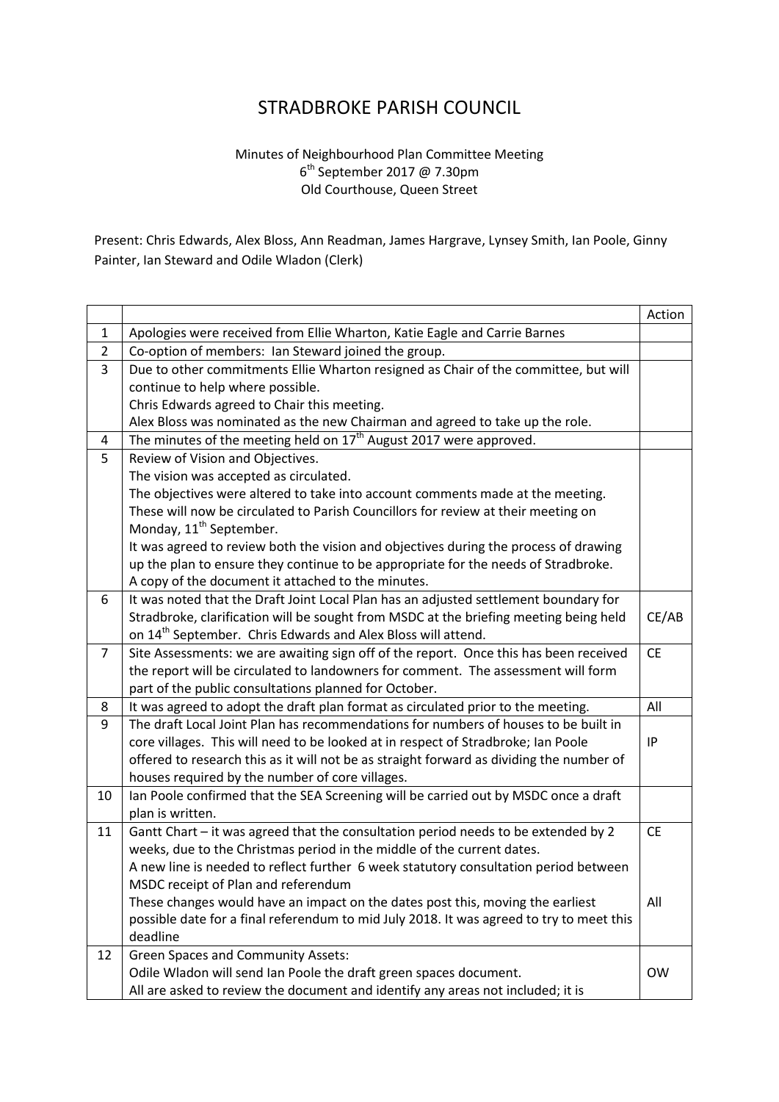## STRADBROKE PARISH COUNCIL

## Minutes of Neighbourhood Plan Committee Meeting 6<sup>th</sup> September 2017 @ 7.30pm Old Courthouse, Queen Street

Present: Chris Edwards, Alex Bloss, Ann Readman, James Hargrave, Lynsey Smith, Ian Poole, Ginny Painter, Ian Steward and Odile Wladon (Clerk)

|                |                                                                                          | Action    |
|----------------|------------------------------------------------------------------------------------------|-----------|
| $\mathbf{1}$   | Apologies were received from Ellie Wharton, Katie Eagle and Carrie Barnes                |           |
| $\overline{2}$ | Co-option of members: Ian Steward joined the group.                                      |           |
| 3              | Due to other commitments Ellie Wharton resigned as Chair of the committee, but will      |           |
|                | continue to help where possible.                                                         |           |
|                | Chris Edwards agreed to Chair this meeting.                                              |           |
|                | Alex Bloss was nominated as the new Chairman and agreed to take up the role.             |           |
| 4              | The minutes of the meeting held on $17^{th}$ August 2017 were approved.                  |           |
| 5              | Review of Vision and Objectives.                                                         |           |
|                | The vision was accepted as circulated.                                                   |           |
|                | The objectives were altered to take into account comments made at the meeting.           |           |
|                | These will now be circulated to Parish Councillors for review at their meeting on        |           |
|                | Monday, 11 <sup>th</sup> September.                                                      |           |
|                | It was agreed to review both the vision and objectives during the process of drawing     |           |
|                | up the plan to ensure they continue to be appropriate for the needs of Stradbroke.       |           |
|                | A copy of the document it attached to the minutes.                                       |           |
| 6              | It was noted that the Draft Joint Local Plan has an adjusted settlement boundary for     |           |
|                | Stradbroke, clarification will be sought from MSDC at the briefing meeting being held    | CE/AB     |
|                | on 14 <sup>th</sup> September. Chris Edwards and Alex Bloss will attend.                 |           |
| $\overline{7}$ | Site Assessments: we are awaiting sign off of the report. Once this has been received    | <b>CE</b> |
|                | the report will be circulated to landowners for comment. The assessment will form        |           |
|                | part of the public consultations planned for October.                                    |           |
| 8              | It was agreed to adopt the draft plan format as circulated prior to the meeting.         | All       |
| 9              | The draft Local Joint Plan has recommendations for numbers of houses to be built in      |           |
|                | core villages. This will need to be looked at in respect of Stradbroke; Ian Poole        | IP        |
|                | offered to research this as it will not be as straight forward as dividing the number of |           |
|                | houses required by the number of core villages.                                          |           |
| 10             | Ian Poole confirmed that the SEA Screening will be carried out by MSDC once a draft      |           |
|                | plan is written.                                                                         |           |
| 11             | Gantt Chart - it was agreed that the consultation period needs to be extended by 2       | <b>CE</b> |
|                | weeks, due to the Christmas period in the middle of the current dates.                   |           |
|                | A new line is needed to reflect further 6 week statutory consultation period between     |           |
|                | MSDC receipt of Plan and referendum                                                      |           |
|                | These changes would have an impact on the dates post this, moving the earliest           | All       |
|                | possible date for a final referendum to mid July 2018. It was agreed to try to meet this |           |
|                | deadline                                                                                 |           |
| 12             | <b>Green Spaces and Community Assets:</b>                                                |           |
|                | Odile Wladon will send Ian Poole the draft green spaces document.                        | <b>OW</b> |
|                | All are asked to review the document and identify any areas not included; it is          |           |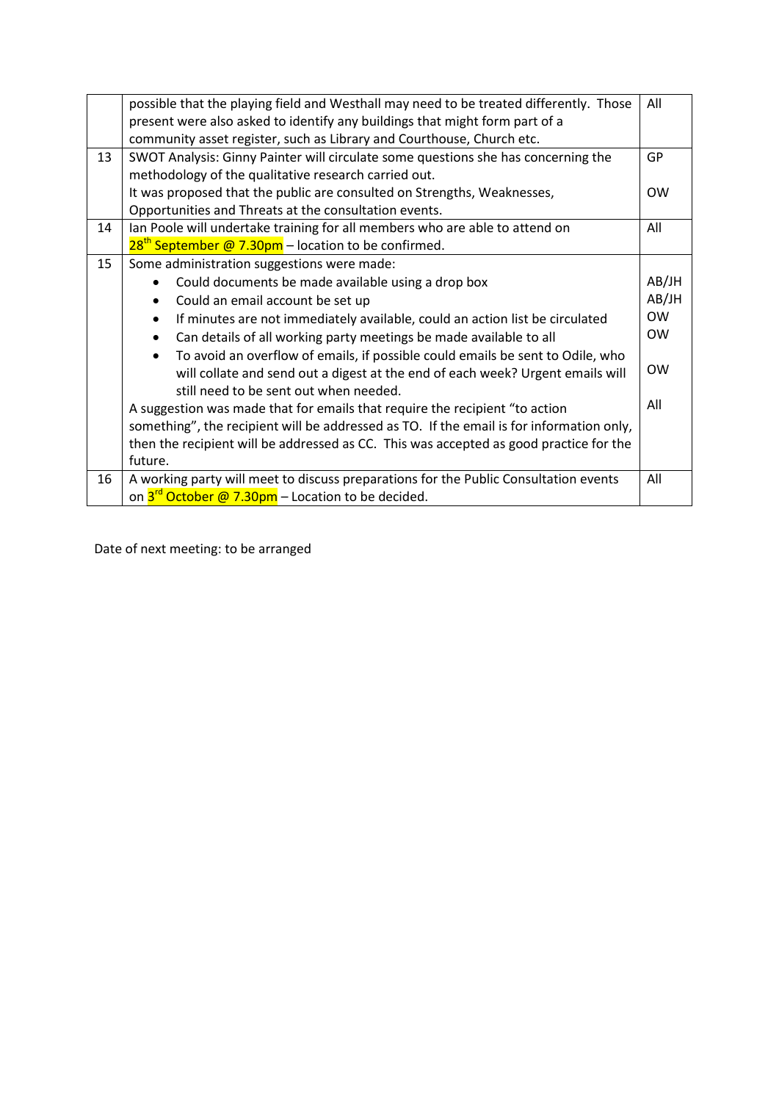|    | possible that the playing field and Westhall may need to be treated differently. Those   | All       |
|----|------------------------------------------------------------------------------------------|-----------|
|    | present were also asked to identify any buildings that might form part of a              |           |
|    | community asset register, such as Library and Courthouse, Church etc.                    |           |
| 13 | SWOT Analysis: Ginny Painter will circulate some questions she has concerning the        | GP        |
|    | methodology of the qualitative research carried out.                                     |           |
|    | It was proposed that the public are consulted on Strengths, Weaknesses,                  | <b>OW</b> |
|    | Opportunities and Threats at the consultation events.                                    |           |
| 14 | Ian Poole will undertake training for all members who are able to attend on              | All       |
|    | $28th$ September @ 7.30pm – location to be confirmed.                                    |           |
| 15 | Some administration suggestions were made:                                               |           |
|    | Could documents be made available using a drop box                                       | AB/JH     |
|    | Could an email account be set up                                                         | AB/JH     |
|    | If minutes are not immediately available, could an action list be circulated             | <b>OW</b> |
|    | Can details of all working party meetings be made available to all                       | <b>OW</b> |
|    | To avoid an overflow of emails, if possible could emails be sent to Odile, who           |           |
|    | will collate and send out a digest at the end of each week? Urgent emails will           | <b>OW</b> |
|    | still need to be sent out when needed.                                                   |           |
|    | A suggestion was made that for emails that require the recipient "to action              | All       |
|    | something", the recipient will be addressed as TO. If the email is for information only, |           |
|    | then the recipient will be addressed as CC. This was accepted as good practice for the   |           |
|    | future.                                                                                  |           |
| 16 | A working party will meet to discuss preparations for the Public Consultation events     | All       |
|    | on 3 <sup>rd</sup> October @ 7.30pm - Location to be decided.                            |           |

Date of next meeting: to be arranged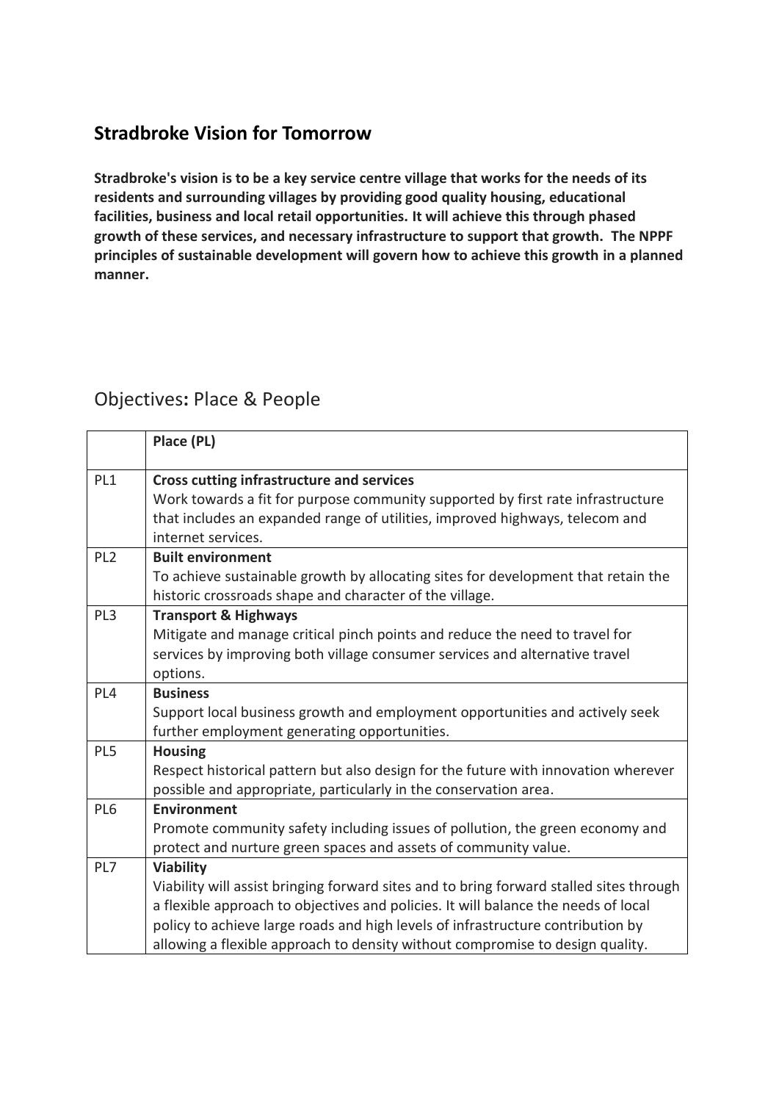## **Stradbroke Vision for Tomorrow**

**Stradbroke's vision is to be a key service centre village that works for the needs of its residents and surrounding villages by providing good quality housing, educational facilities, business and local retail opportunities. It will achieve this through phased growth of these services, and necessary infrastructure to support that growth. The NPPF principles of sustainable development will govern how to achieve this growth in a planned manner.**

## Objectives**:** Place & People

|                 | Place (PL)                                                                                                                                             |
|-----------------|--------------------------------------------------------------------------------------------------------------------------------------------------------|
| PL1             | <b>Cross cutting infrastructure and services</b><br>Work towards a fit for purpose community supported by first rate infrastructure                    |
|                 | that includes an expanded range of utilities, improved highways, telecom and<br>internet services.                                                     |
| PL <sub>2</sub> | <b>Built environment</b>                                                                                                                               |
|                 | To achieve sustainable growth by allocating sites for development that retain the<br>historic crossroads shape and character of the village.           |
| PL <sub>3</sub> | <b>Transport &amp; Highways</b>                                                                                                                        |
|                 | Mitigate and manage critical pinch points and reduce the need to travel for                                                                            |
|                 | services by improving both village consumer services and alternative travel                                                                            |
|                 | options.                                                                                                                                               |
| PL <sub>4</sub> | <b>Business</b>                                                                                                                                        |
|                 | Support local business growth and employment opportunities and actively seek                                                                           |
|                 | further employment generating opportunities.                                                                                                           |
| PL5             | <b>Housing</b>                                                                                                                                         |
|                 | Respect historical pattern but also design for the future with innovation wherever<br>possible and appropriate, particularly in the conservation area. |
| PL <sub>6</sub> | <b>Environment</b>                                                                                                                                     |
|                 | Promote community safety including issues of pollution, the green economy and                                                                          |
|                 | protect and nurture green spaces and assets of community value.                                                                                        |
| PL7             | <b>Viability</b>                                                                                                                                       |
|                 | Viability will assist bringing forward sites and to bring forward stalled sites through                                                                |
|                 | a flexible approach to objectives and policies. It will balance the needs of local                                                                     |
|                 | policy to achieve large roads and high levels of infrastructure contribution by                                                                        |
|                 | allowing a flexible approach to density without compromise to design quality.                                                                          |